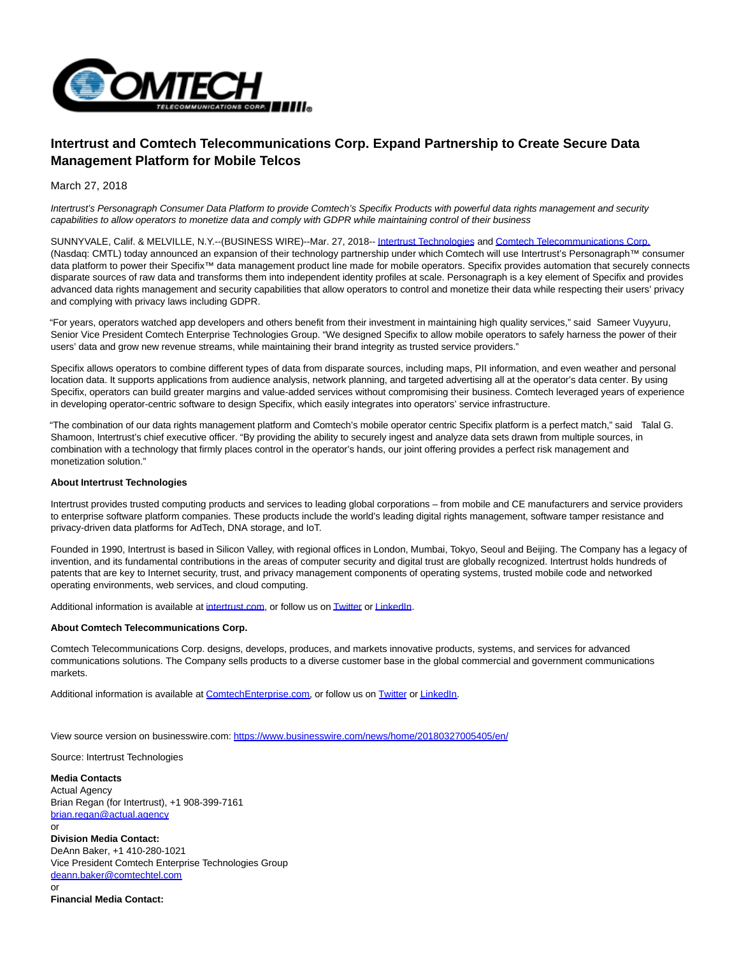

## **Intertrust and Comtech Telecommunications Corp. Expand Partnership to Create Secure Data Management Platform for Mobile Telcos**

March 27, 2018

Intertrust's Personagraph Consumer Data Platform to provide Comtech's Specifix Products with powerful data rights management and security capabilities to allow operators to monetize data and comply with GDPR while maintaining control of their business

SUNNYVALE, Calif. & MELVILLE, N.Y.--(BUSINESS WIRE)--Mar. 27, 2018-[- Intertrust Technologies a](http://cts.businesswire.com/ct/CT?id=smartlink&url=https%3A%2F%2Fwww.intertrust.com%2F&esheet=51779329&newsitemid=20180327005405&lan=en-US&anchor=Intertrust+Technologies&index=1&md5=4de35c502c30545f0554ab88abd8c971)nd [Comtech Telecommunications Corp.](http://cts.businesswire.com/ct/CT?id=smartlink&url=https%3A%2F%2Fwww.comtechenterprise.com%2F&esheet=51779329&newsitemid=20180327005405&lan=en-US&anchor=Comtech+Telecommunications+Corp.&index=2&md5=36334816700986ac8c4d0accdd286572) (Nasdaq: CMTL) today announced an expansion of their technology partnership under which Comtech will use Intertrust's Personagraph™ consumer data platform to power their Specifix™ data management product line made for mobile operators. Specifix provides automation that securely connects disparate sources of raw data and transforms them into independent identity profiles at scale. Personagraph is a key element of Specifix and provides advanced data rights management and security capabilities that allow operators to control and monetize their data while respecting their users' privacy and complying with privacy laws including GDPR.

"For years, operators watched app developers and others benefit from their investment in maintaining high quality services," said Sameer Vuyyuru, Senior Vice President Comtech Enterprise Technologies Group. "We designed Specifix to allow mobile operators to safely harness the power of their users' data and grow new revenue streams, while maintaining their brand integrity as trusted service providers."

Specifix allows operators to combine different types of data from disparate sources, including maps, PII information, and even weather and personal location data. It supports applications from audience analysis, network planning, and targeted advertising all at the operator's data center. By using Specifix, operators can build greater margins and value-added services without compromising their business. Comtech leveraged years of experience in developing operator-centric software to design Specifix, which easily integrates into operators' service infrastructure.

"The combination of our data rights management platform and Comtech's mobile operator centric Specifix platform is a perfect match," said Talal G. Shamoon, Intertrust's chief executive officer. "By providing the ability to securely ingest and analyze data sets drawn from multiple sources, in combination with a technology that firmly places control in the operator's hands, our joint offering provides a perfect risk management and monetization solution."

## **About Intertrust Technologies**

Intertrust provides trusted computing products and services to leading global corporations – from mobile and CE manufacturers and service providers to enterprise software platform companies. These products include the world's leading digital rights management, software tamper resistance and privacy-driven data platforms for AdTech, DNA storage, and IoT.

Founded in 1990, Intertrust is based in Silicon Valley, with regional offices in London, Mumbai, Tokyo, Seoul and Beijing. The Company has a legacy of invention, and its fundamental contributions in the areas of computer security and digital trust are globally recognized. Intertrust holds hundreds of patents that are key to Internet security, trust, and privacy management components of operating systems, trusted mobile code and networked operating environments, web services, and cloud computing.

Additional information is available at [intertrust.com,](http://cts.businesswire.com/ct/CT?id=smartlink&url=http%3A%2F%2Fwww.intertrust.com%2F&esheet=51779329&newsitemid=20180327005405&lan=en-US&anchor=intertrust.com&index=3&md5=cc73bc5b05a3e59d25025d7485ab4151) or follow us o[n Twitter o](http://cts.businesswire.com/ct/CT?id=smartlink&url=https%3A%2F%2Ftwitter.com%2FIntertrustTech&esheet=51779329&newsitemid=20180327005405&lan=en-US&anchor=Twitter&index=4&md5=f11a17cee2ef98d8e605e2083faaf7aa)[r LinkedIn.](http://cts.businesswire.com/ct/CT?id=smartlink&url=https%3A%2F%2Fwww.linkedin.com%2Fcompany-beta%2F9653%2F&esheet=51779329&newsitemid=20180327005405&lan=en-US&anchor=LinkedIn&index=5&md5=ea5cf556d9d043ce04525959257dbb75)

## **About Comtech Telecommunications Corp.**

Comtech Telecommunications Corp. designs, develops, produces, and markets innovative products, systems, and services for advanced communications solutions. The Company sells products to a diverse customer base in the global commercial and government communications markets.

Additional information is available at [ComtechEnterprise.com,](http://cts.businesswire.com/ct/CT?id=smartlink&url=http%3A%2F%2Fwww.comtechenterprise.com%2F&esheet=51779329&newsitemid=20180327005405&lan=en-US&anchor=ComtechEnterprise.com&index=6&md5=7dbdd3c63d5dd43b170a4966cb812a09) or follow us on [Twitter o](http://cts.businesswire.com/ct/CT?id=smartlink&url=https%3A%2F%2Ftwitter.com%2FComtechET&esheet=51779329&newsitemid=20180327005405&lan=en-US&anchor=Twitter&index=7&md5=12cce7681eb13d680df4cf6330dcf3a4)[r LinkedIn.](http://cts.businesswire.com/ct/CT?id=smartlink&url=https%3A%2F%2Fwww.linkedin.com%2Fcompany%2F10568670%2F&esheet=51779329&newsitemid=20180327005405&lan=en-US&anchor=LinkedIn&index=8&md5=6621d4165da2daeeed519745f8f9f0c6)

View source version on businesswire.com:<https://www.businesswire.com/news/home/20180327005405/en/>

Source: Intertrust Technologies

**Media Contacts** Actual Agency Brian Regan (for Intertrust), +1 908-399-7161 [brian.regan@actual.agency](mailto:brian.regan@actual.agency) or **Division Media Contact:** DeAnn Baker, +1 410-280-1021 Vice President Comtech Enterprise Technologies Group [deann.baker@comtechtel.com](mailto:deann.baker@comtechtel.com) or

**Financial Media Contact:**